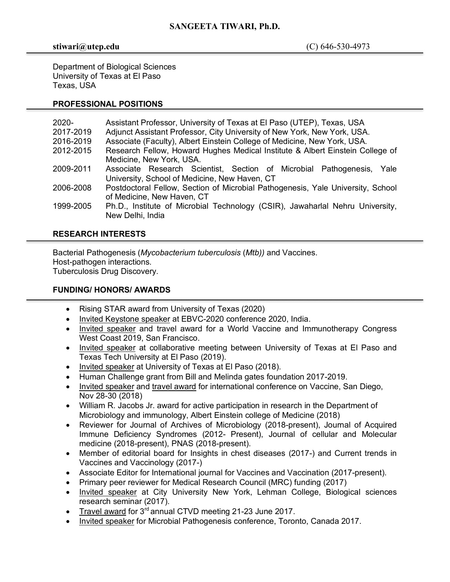## **SANGEETA TIWARI, Ph.D.**

#### **stiwari@utep.edu** (C) 646-530-4973

Department of Biological Sciences University of Texas at El Paso Texas, USA

## **PROFESSIONAL POSITIONS**

| $2020 -$  | Assistant Professor, University of Texas at El Paso (UTEP), Texas, USA          |
|-----------|---------------------------------------------------------------------------------|
| 2017-2019 | Adjunct Assistant Professor, City University of New York, New York, USA.        |
| 2016-2019 | Associate (Faculty), Albert Einstein College of Medicine, New York, USA.        |
| 2012-2015 | Research Fellow, Howard Hughes Medical Institute & Albert Einstein College of   |
|           | Medicine, New York, USA.                                                        |
| 2009-2011 | Associate Research Scientist, Section of Microbial Pathogenesis,<br>Yale        |
|           | University, School of Medicine, New Haven, CT                                   |
| 2006-2008 | Postdoctoral Fellow, Section of Microbial Pathogenesis, Yale University, School |
|           | of Medicine, New Haven, CT                                                      |
| 1999-2005 | Ph.D., Institute of Microbial Technology (CSIR), Jawaharlal Nehru University,   |
|           | New Delhi, India                                                                |
|           |                                                                                 |

# **RESEARCH INTERESTS**

Bacterial Pathogenesis (*Mycobacterium tuberculosis* (*Mtb))* and Vaccines. Host-pathogen interactions. Tuberculosis Drug Discovery.

## **FUNDING/ HONORS/ AWARDS**

- Rising STAR award from University of Texas (2020)
- Invited Keystone speaker at EBVC-2020 conference 2020, India.
- Invited speaker and travel award for a World Vaccine and Immunotherapy Congress West Coast 2019, San Francisco.
- Invited speaker at collaborative meeting between University of Texas at El Paso and Texas Tech University at El Paso (2019).
- Invited speaker at University of Texas at El Paso (2018).
- Human Challenge grant from Bill and Melinda gates foundation 2017-2019.
- Invited speaker and travel award for international conference on Vaccine, San Diego, Nov 28-30 (2018)
- William R. Jacobs Jr. award for active participation in research in the Department of Microbiology and immunology, Albert Einstein college of Medicine (2018)
- Reviewer for Journal of Archives of Microbiology (2018-present), Journal of Acquired Immune Deficiency Syndromes (2012- Present), Journal of cellular and Molecular medicine (2018-present), PNAS (2018-present).
- Member of editorial board for Insights in chest diseases (2017-) and Current trends in Vaccines and Vaccinology (2017-)
- Associate Editor for International journal for Vaccines and Vaccination (2017-present).
- Primary peer reviewer for Medical Research Council (MRC) funding (2017)
- Invited speaker at City University New York, Lehman College, Biological sciences research seminar (2017).
- Travel award for  $3<sup>rd</sup>$  annual CTVD meeting 21-23 June 2017.
- Invited speaker for Microbial Pathogenesis conference, Toronto, Canada 2017.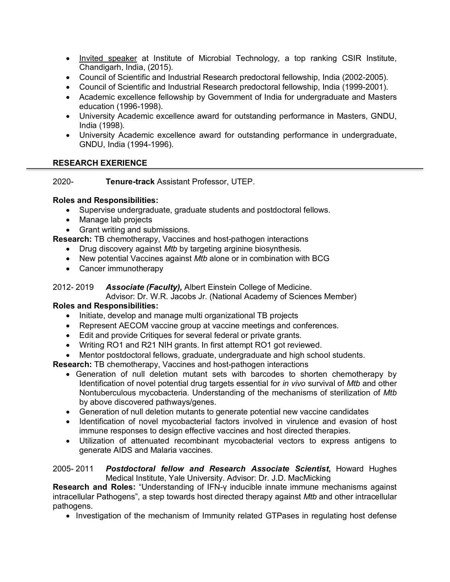- Invited speaker at Institute of Microbial Technology, a top ranking CSIR Institute, Chandigarh, India, (2015).
- Council of Scientific and Industrial Research predoctoral fellowship, India (2002-2005).
- Council of Scientific and Industrial Research predoctoral fellowship, India (1999-2001).
- Academic excellence fellowship by Government of India for undergraduate and Masters education (1996-1998).
- University Academic excellence award for outstanding performance in Masters, GNDU, India (1998).
- University Academic excellence award for outstanding performance in undergraduate, GNDU, India (1994-1996).

### **RESEARCH EXERIENCE**

2020- **Tenure-track** Assistant Professor, UTEP.

#### **Roles and Responsibilities:**

- Supervise undergraduate, graduate students and postdoctoral fellows.
- Manage lab projects
- Grant writing and submissions.

**Research:** TB chemotherapy, Vaccines and host-pathogen interactions

- Drug discovery against *Mtb* by targeting arginine biosynthesis.
- New potential Vaccines against *Mtb* alone or in combination with BCG
- Cancer immunotherapy

#### 2012- 2019 *Associate (Faculty),* Albert Einstein College of Medicine.

Advisor: Dr. W.R. Jacobs Jr. (National Academy of Sciences Member)

### **Roles and Responsibilities:**

- Initiate, develop and manage multi organizational TB projects
- Represent AECOM vaccine group at vaccine meetings and conferences.
- Edit and provide Critiques for several federal or private grants.
- Writing RO1 and R21 NIH grants. In first attempt RO1 got reviewed.
- Mentor postdoctoral fellows, graduate, undergraduate and high school students.

**Research:** TB chemotherapy, Vaccines and host-pathogen interactions

- Generation of null deletion mutant sets with barcodes to shorten chemotherapy by Identification of novel potential drug targets essential for *in vivo* survival of *Mtb* and other Nontuberculous mycobacteria. Understanding of the mechanisms of sterilization of *Mtb* by above discovered pathways/genes.
- Generation of null deletion mutants to generate potential new vaccine candidates
- Identification of novel mycobacterial factors involved in virulence and evasion of host immune responses to design effective vaccines and host directed therapies.
- Utilization of attenuated recombinant mycobacterial vectors to express antigens to generate AIDS and Malaria vaccines.

#### 2005- 2011 *Postdoctoral fellow and Research Associate Scientist***,** Howard Hughes Medical Institute, Yale University. Advisor: Dr. J.D. MacMicking

**Research and Roles:** "Understanding of IFN-γ inducible innate immune mechanisms against intracellular Pathogens", a step towards host directed therapy against *Mtb* and other intracellular pathogens.

• Investigation of the mechanism of Immunity related GTPases in regulating host defense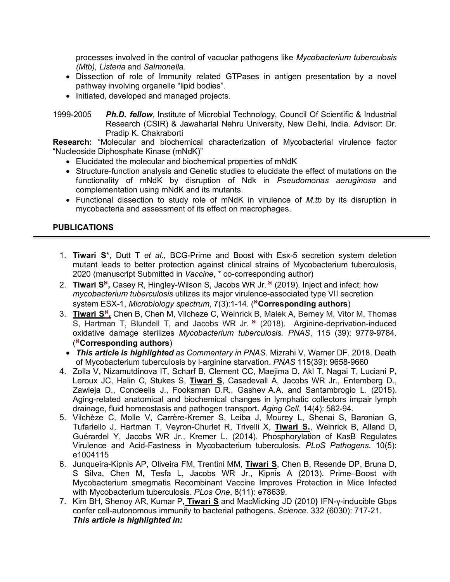processes involved in the control of vacuolar pathogens like *Mycobacterium tuberculosis (Mtb), Listeria* and *Salmonella.*

- Dissection of role of Immunity related GTPases in antigen presentation by a novel pathway involving organelle "lipid bodies".
- Initiated, developed and managed projects.

1999-2005 *Ph.D. fellow*, Institute of Microbial Technology, Council Of Scientific & Industrial Research (CSIR) & Jawaharlal Nehru University, New Delhi, India. Advisor: Dr. Pradip K. Chakraborti

**Research:** "Molecular and biochemical characterization of Mycobacterial virulence factor "Nucleoside Diphosphate Kinase (mNdK)"

- Elucidated the molecular and biochemical properties of mNdK
- Structure-function analysis and Genetic studies to elucidate the effect of mutations on the functionality of mNdK by disruption of Ndk in *Pseudomonas aeruginosa* and complementation using mNdK and its mutants.
- Functional dissection to study role of mNdK in virulence of *M.tb* by its disruption in mycobacteria and assessment of its effect on macrophages.

## **PUBLICATIONS**

- 1. **Tiwari S**\*, Dutt T *et al*., BCG-Prime and Boost with Esx-5 secretion system deletion mutant leads to better protection against clinical strains of Mycobacterium tuberculosis, 2020 (manuscript Submitted in *Vaccine*, \* co-corresponding author)
- 2. **Tiwari S<sup>\*</sup>**, Casey R, Hingley-Wilson S, Jacobs WR Jr. <sup>\*</sup> (2019). Inject and infect; how *mycobacterium tuberculosis* utilizes its major virulence-associated type VII secretion system ESX-1, *Microbiology spectrum*, 7(3):1-14. ( <sup>À</sup>**Corresponding authors**)
- 3. Tiwari S<sup>\*</sup>, Chen B, Chen M, Vilcheze C, Weinrick B, Malek A, Berney M, Vitor M, Thomas S. Hartman T, Blundell T, and Jacobs WR Jr. \* (2018). Arginine-deprivation-induced oxidative damage sterilizes *Mycobacterium tuberculosis. PNAS*, 115 (39): 9779-9784. ( <sup>À</sup>**Corresponding authors**)
- *This article is highlighted as Commentary in PNAS.* Mizrahi V, Warner DF. 2018. Death of Mycobacterium tuberculosis by l-arginine starvation. *PNAS* 115(39): 9658-9660
- 4. Zolla V, Nizamutdinova IT, Scharf B, Clement CC, Maejima D, Akl T, Nagai T, Luciani P, Leroux JC, Halin C, Stukes S, **Tiwari S**, Casadevall A, Jacobs WR Jr., Entemberg D., Zawieja D., Condeelis J., Fooksman D.R., Gashev A.A. and Santambrogio L. (2015). Aging-related anatomical and biochemical changes in lymphatic collectors impair lymph drainage, fluid homeostasis and pathogen transport**.** *Aging Cell.* 14(4): 582-94.
- 5. Vilchèze C, Molle V, Carrère-Kremer S, Leiba J, Mourey L, Shenai S, Baronian G, Tufariello J, Hartman T, Veyron-Churlet R, Trivelli X, **Tiwari S.**, Weinrick B, Alland D, Guérardel Y, Jacobs WR Jr., Kremer L. (2014). Phosphorylation of KasB Regulates Virulence and Acid-Fastness in Mycobacterium tuberculosis. *PLoS Pathogens*. 10(5): e1004115
- 6. Junqueira-Kipnis AP, Oliveira FM, Trentini MM, **Tiwari S**, Chen B, Resende DP, Bruna D, S Silva, Chen M, Tesfa L, Jacobs WR Jr., Kipnis A (2013). Prime–Boost with Mycobacterium smegmatis Recombinant Vaccine Improves Protection in Mice Infected with Mycobacterium tuberculosis. *PLos One*, 8(11): e78639.
- 7. Kim BH, Shenoy AR, Kumar P, **Tiwari S** and MacMicking JD (2010**)** IFN-γ-inducible Gbps confer cell-autonomous immunity to bacterial pathogens. *Science.* 332 (6030): 717-21. *This article is highlighted in:*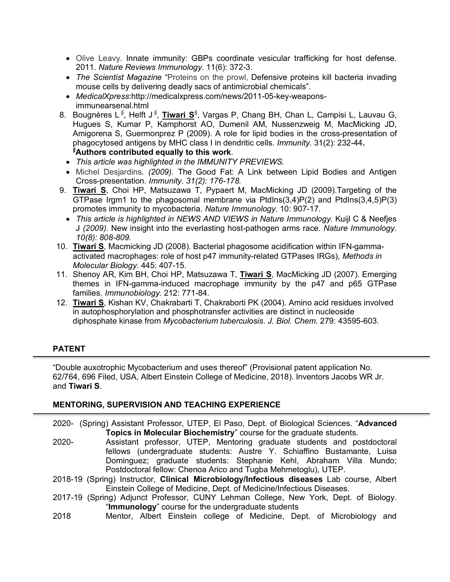- Olive Leavy. Innate immunity: GBPs coordinate vesicular trafficking for host defense. 2011. *Nature Reviews Immunology*. 11(6): 372-3.
- *The Scientist Magazine* "Proteins on the prowl, Defensive proteins kill bacteria invading mouse cells by delivering deadly sacs of antimicrobial chemicals".
- *MedicalXpress*:http://medicalxpress.com/news/2011-05-key-weaponsimmunearsenal.html
- 8. Bougnères L <sup>§</sup>, Helft J <sup>§</sup>, Tiwari S <sup>§</sup>, Vargas P, Chang BH, Chan L, Campisi L, Lauvau G, Hugues S, Kumar P, Kamphorst AO, Dumenil AM, Nussenzweig M, MacMicking JD, Amigorena S, Guermonprez P (2009). A role for lipid bodies in the cross-presentation of phagocytosed antigens by MHC class I in dendritic cells. *Immunity*. 31(2): 232-44**.** *§* **Authors contributed equally to this work**.
	- *This article was highlighted in the IMMUNITY PREVIEWS.*
	- Michel Desjardins*. (2009).* The Good Fat: A Link between Lipid Bodies and Antigen Cross-presentation*. Immunity*. *31(2): 176-178.*
- 9. **Tiwari S**, Choi HP, Matsuzawa T, Pypaert M, MacMicking JD (2009).Targeting of the GTPase Irgm1 to the phagosomal membrane via PtdIns $(3,4)P(2)$  and PtdIns $(3,4,5)P(3)$ promotes immunity to mycobacteria. *Nature Immunology*. 10: 907-17.
	- *This article is highlighted in NEWS AND VIEWS in Nature Immunology.* Kuijl C & Neefjes J *(2009).* New insight into the everlasting host-pathogen arms race. *Nature Immunology*. *10(8): 808-809.*
- 10. **Tiwari S**, Macmicking JD (2008). Bacterial phagosome acidification within IFN-gammaactivated macrophages: role of host p47 immunity-related GTPases IRGs), *Methods in Molecular Biology*. 445: 407-15.
- 11. Shenoy AR, Kim BH, Choi HP, Matsuzawa T, **Tiwari S**, MacMicking JD (2007). Emerging themes in IFN-gamma-induced macrophage immunity by the p47 and p65 GTPase families. *Immunobiology.* 212: 771-84.
- 12. **Tiwari S**, Kishan KV, Chakrabarti T, Chakraborti PK (2004). Amino acid residues involved in autophosphorylation and phosphotransfer activities are distinct in nucleoside diphosphate kinase from *Mycobacterium tuberculosis*. *J. Biol. Chem.* 279: 43595-603.

# **PATENT**

"Double auxotrophic Mycobacterium and uses thereof" (Provisional patent application No. 62/764, 696 Filed, USA, Albert Einstein College of Medicine, 2018). Inventors Jacobs WR Jr. and **Tiwari S**.

### **MENTORING, SUPERVISION AND TEACHING EXPERIENCE**

- 2020- (Spring) Assistant Professor, UTEP, El Paso, Dept. of Biological Sciences. "**Advanced Topics in Molecular Biochemistry**" course for the graduate students.
- 2020- Assistant professor, UTEP, Mentoring graduate students and postdoctoral fellows (undergraduate students: Austre Y. Schiaffino Bustamante, Luisa Dominguez; graduate students: Stephanie Kehl, Abraham Villa Mundo; Postdoctoral fellow: Chenoa Arico and Tugba Mehmetoglu), UTEP.
- 2018-19 (Spring) Instructor, **Clinical Microbiology/Infectious diseases** Lab course, Albert Einstein College of Medicine, Dept. of Medicine/Infectious Diseases.
- 2017-19 (Spring) Adjunct Professor, CUNY Lehman College, New York, Dept. of Biology. "**Immunology**" course for the undergraduate students
- 2018 Mentor, Albert Einstein college of Medicine, Dept. of Microbiology and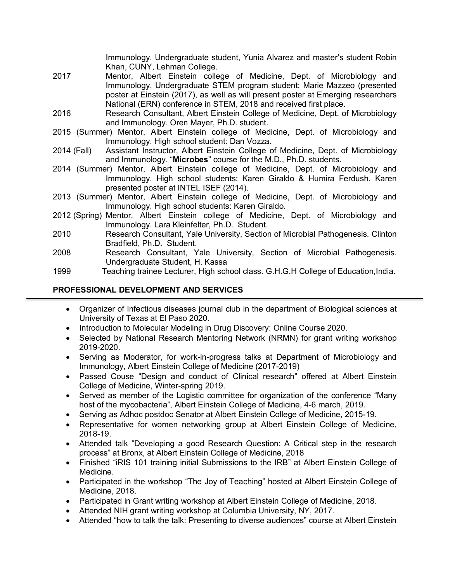Immunology. Undergraduate student, Yunia Alvarez and master's student Robin Khan, CUNY, Lehman College.

- 2017 Mentor, Albert Einstein college of Medicine, Dept. of Microbiology and Immunology. Undergraduate STEM program student: Marie Mazzeo (presented poster at Einstein (2017), as well as will present poster at Emerging researchers National (ERN) conference in STEM, 2018 and received first place.
- 2016 Research Consultant, Albert Einstein College of Medicine, Dept. of Microbiology and Immunology. Oren Mayer, Ph.D. student.
- 2015 (Summer) Mentor, Albert Einstein college of Medicine, Dept. of Microbiology and Immunology. High school student: Dan Vozza.
- 2014 (Fall) Assistant Instructor, Albert Einstein College of Medicine, Dept. of Microbiology and Immunology. "**Microbes**" course for the M.D., Ph.D. students.
- 2014 (Summer) Mentor, Albert Einstein college of Medicine, Dept. of Microbiology and Immunology. High school students: Karen Giraldo & Humira Ferdush. Karen presented poster at INTEL ISEF (2014).
- 2013 (Summer) Mentor, Albert Einstein college of Medicine, Dept. of Microbiology and Immunology. High school students: Karen Giraldo.
- 2012 (Spring) Mentor, Albert Einstein college of Medicine, Dept. of Microbiology and Immunology. Lara Kleinfelter, Ph.D. Student.
- 2010 Research Consultant, Yale University, Section of Microbial Pathogenesis. Clinton Bradfield, Ph.D. Student.
- 2008 Research Consultant, Yale University, Section of Microbial Pathogenesis. Undergraduate Student, H. Kassa
- 1999 Teaching trainee Lecturer, High school class. G.H.G.H College of Education,India.

## **PROFESSIONAL DEVELOPMENT AND SERVICES**

- Organizer of Infectious diseases journal club in the department of Biological sciences at University of Texas at El Paso 2020.
- Introduction to Molecular Modeling in Drug Discovery: Online Course 2020.
- Selected by National Research Mentoring Network (NRMN) for grant writing workshop 2019-2020.
- Serving as Moderator, for work-in-progress talks at Department of Microbiology and Immunology, Albert Einstein College of Medicine (2017-2019)
- Passed Couse "Design and conduct of Clinical research" offered at Albert Einstein College of Medicine, Winter-spring 2019.
- Served as member of the Logistic committee for organization of the conference "Many host of the mycobacteria", Albert Einstein College of Medicine, 4-6 march, 2019.
- Serving as Adhoc postdoc Senator at Albert Einstein College of Medicine, 2015-19.
- Representative for women networking group at Albert Einstein College of Medicine, 2018-19.
- Attended talk "Developing a good Research Question: A Critical step in the research process" at Bronx, at Albert Einstein College of Medicine, 2018
- Finished "iRIS 101 training initial Submissions to the IRB" at Albert Einstein College of Medicine.
- Participated in the workshop "The Joy of Teaching" hosted at Albert Einstein College of Medicine, 2018.
- Participated in Grant writing workshop at Albert Einstein College of Medicine, 2018.
- Attended NIH grant writing workshop at Columbia University, NY, 2017.
- Attended "how to talk the talk: Presenting to diverse audiences" course at Albert Einstein